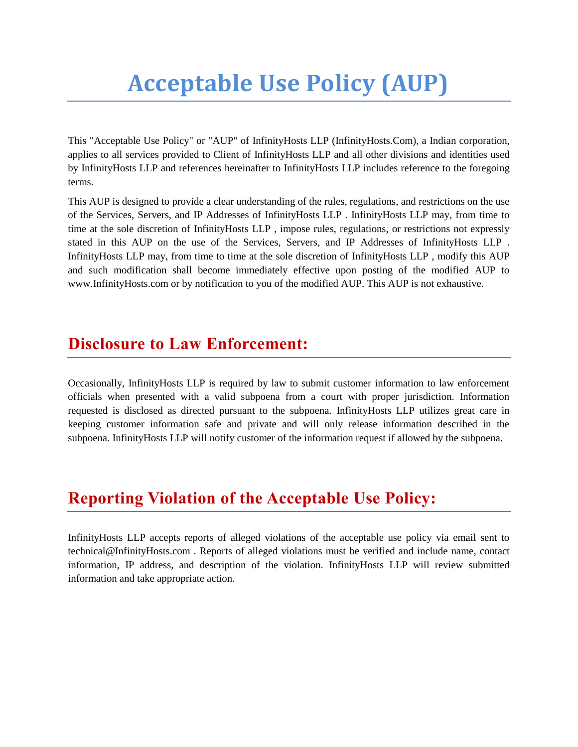# **Acceptable Use Policy (AUP)**

This "Acceptable Use Policy" or "AUP" of InfinityHosts LLP (InfinityHosts.Com), a Indian corporation, applies to all services provided to Client of InfinityHosts LLP and all other divisions and identities used by InfinityHosts LLP and references hereinafter to InfinityHosts LLP includes reference to the foregoing terms.

This AUP is designed to provide a clear understanding of the rules, regulations, and restrictions on the use of the Services, Servers, and IP Addresses of InfinityHosts LLP . InfinityHosts LLP may, from time to time at the sole discretion of InfinityHosts LLP , impose rules, regulations, or restrictions not expressly stated in this AUP on the use of the Services, Servers, and IP Addresses of InfinityHosts LLP . InfinityHosts LLP may, from time to time at the sole discretion of InfinityHosts LLP , modify this AUP and such modification shall become immediately effective upon posting of the modified AUP to www.InfinityHosts.com or by notification to you of the modified AUP. This AUP is not exhaustive.

#### **Disclosure to Law Enforcement:**

Occasionally, InfinityHosts LLP is required by law to submit customer information to law enforcement officials when presented with a valid subpoena from a court with proper jurisdiction. Information requested is disclosed as directed pursuant to the subpoena. InfinityHosts LLP utilizes great care in keeping customer information safe and private and will only release information described in the subpoena. InfinityHosts LLP will notify customer of the information request if allowed by the subpoena.

## **Reporting Violation of the Acceptable Use Policy:**

InfinityHosts LLP accepts reports of alleged violations of the acceptable use policy via email sent to technical@InfinityHosts.com . Reports of alleged violations must be verified and include name, contact information, IP address, and description of the violation. InfinityHosts LLP will review submitted information and take appropriate action.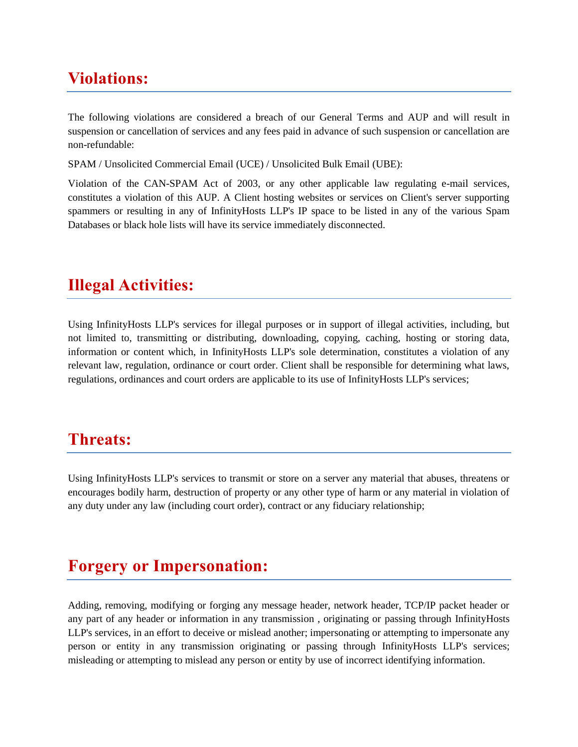## **Violations:**

The following violations are considered a breach of our General Terms and AUP and will result in suspension or cancellation of services and any fees paid in advance of such suspension or cancellation are non-refundable:

SPAM / Unsolicited Commercial Email (UCE) / Unsolicited Bulk Email (UBE):

Violation of the CAN-SPAM Act of 2003, or any other applicable law regulating e-mail services, constitutes a violation of this AUP. A Client hosting websites or services on Client's server supporting spammers or resulting in any of InfinityHosts LLP's IP space to be listed in any of the various Spam Databases or black hole lists will have its service immediately disconnected.

## **Illegal Activities:**

Using InfinityHosts LLP's services for illegal purposes or in support of illegal activities, including, but not limited to, transmitting or distributing, downloading, copying, caching, hosting or storing data, information or content which, in InfinityHosts LLP's sole determination, constitutes a violation of any relevant law, regulation, ordinance or court order. Client shall be responsible for determining what laws, regulations, ordinances and court orders are applicable to its use of InfinityHosts LLP's services;

#### **Threats:**

Using InfinityHosts LLP's services to transmit or store on a server any material that abuses, threatens or encourages bodily harm, destruction of property or any other type of harm or any material in violation of any duty under any law (including court order), contract or any fiduciary relationship;

#### **Forgery or Impersonation:**

Adding, removing, modifying or forging any message header, network header, TCP/IP packet header or any part of any header or information in any transmission , originating or passing through InfinityHosts LLP's services, in an effort to deceive or mislead another; impersonating or attempting to impersonate any person or entity in any transmission originating or passing through InfinityHosts LLP's services; misleading or attempting to mislead any person or entity by use of incorrect identifying information.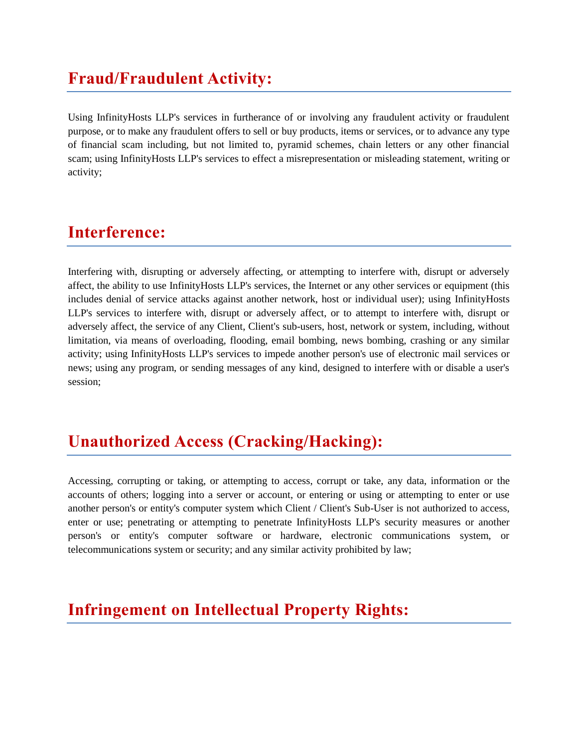# **Fraud/Fraudulent Activity:**

Using InfinityHosts LLP's services in furtherance of or involving any fraudulent activity or fraudulent purpose, or to make any fraudulent offers to sell or buy products, items or services, or to advance any type of financial scam including, but not limited to, pyramid schemes, chain letters or any other financial scam; using InfinityHosts LLP's services to effect a misrepresentation or misleading statement, writing or activity;

## **Interference:**

Interfering with, disrupting or adversely affecting, or attempting to interfere with, disrupt or adversely affect, the ability to use InfinityHosts LLP's services, the Internet or any other services or equipment (this includes denial of service attacks against another network, host or individual user); using InfinityHosts LLP's services to interfere with, disrupt or adversely affect, or to attempt to interfere with, disrupt or adversely affect, the service of any Client, Client's sub-users, host, network or system, including, without limitation, via means of overloading, flooding, email bombing, news bombing, crashing or any similar activity; using InfinityHosts LLP's services to impede another person's use of electronic mail services or news; using any program, or sending messages of any kind, designed to interfere with or disable a user's session;

# **Unauthorized Access (Cracking/Hacking):**

Accessing, corrupting or taking, or attempting to access, corrupt or take, any data, information or the accounts of others; logging into a server or account, or entering or using or attempting to enter or use another person's or entity's computer system which Client / Client's Sub-User is not authorized to access, enter or use; penetrating or attempting to penetrate InfinityHosts LLP's security measures or another person's or entity's computer software or hardware, electronic communications system, or telecommunications system or security; and any similar activity prohibited by law;

# **Infringement on Intellectual Property Rights:**